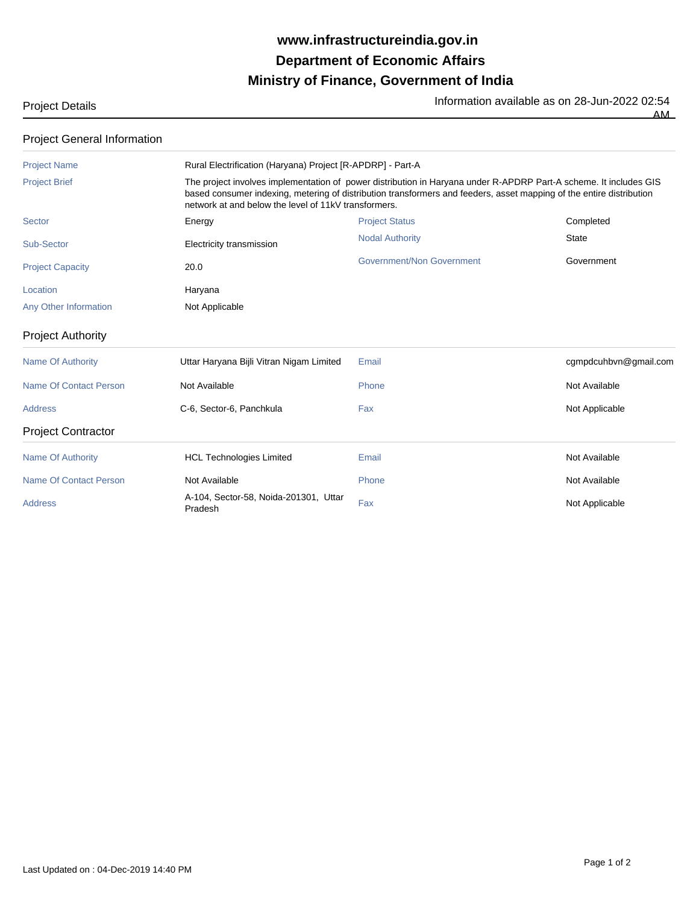## **Ministry of Finance, Government of India Department of Economic Affairs www.infrastructureindia.gov.in**

Project Details **Information available as on 28-Jun-2022 02:54**<br>The Information available as on 28-Jun-2022 02:54 AM

| <b>Project General Information</b> |                                                                                                                                                                                                                                                                                                   |                           |                       |  |
|------------------------------------|---------------------------------------------------------------------------------------------------------------------------------------------------------------------------------------------------------------------------------------------------------------------------------------------------|---------------------------|-----------------------|--|
| <b>Project Name</b>                | Rural Electrification (Haryana) Project [R-APDRP] - Part-A                                                                                                                                                                                                                                        |                           |                       |  |
| <b>Project Brief</b>               | The project involves implementation of power distribution in Haryana under R-APDRP Part-A scheme. It includes GIS<br>based consumer indexing, metering of distribution transformers and feeders, asset mapping of the entire distribution<br>network at and below the level of 11kV transformers. |                           |                       |  |
| <b>Sector</b>                      | Energy                                                                                                                                                                                                                                                                                            | <b>Project Status</b>     | Completed             |  |
| Sub-Sector                         | Electricity transmission                                                                                                                                                                                                                                                                          | <b>Nodal Authority</b>    | <b>State</b>          |  |
| <b>Project Capacity</b>            | 20.0                                                                                                                                                                                                                                                                                              | Government/Non Government | Government            |  |
| Location                           | Haryana                                                                                                                                                                                                                                                                                           |                           |                       |  |
| Any Other Information              | Not Applicable                                                                                                                                                                                                                                                                                    |                           |                       |  |
| <b>Project Authority</b>           |                                                                                                                                                                                                                                                                                                   |                           |                       |  |
| <b>Name Of Authority</b>           | Uttar Haryana Bijli Vitran Nigam Limited                                                                                                                                                                                                                                                          | Email                     | cgmpdcuhbvn@gmail.com |  |
| <b>Name Of Contact Person</b>      | Not Available                                                                                                                                                                                                                                                                                     | Phone                     | Not Available         |  |
| <b>Address</b>                     | C-6, Sector-6, Panchkula                                                                                                                                                                                                                                                                          | Fax                       | Not Applicable        |  |
| <b>Project Contractor</b>          |                                                                                                                                                                                                                                                                                                   |                           |                       |  |
| <b>Name Of Authority</b>           | <b>HCL Technologies Limited</b>                                                                                                                                                                                                                                                                   | Email                     | Not Available         |  |
| Name Of Contact Person             | Not Available                                                                                                                                                                                                                                                                                     | Phone                     | Not Available         |  |
| <b>Address</b>                     | A-104, Sector-58, Noida-201301, Uttar<br>Pradesh                                                                                                                                                                                                                                                  | Fax                       | Not Applicable        |  |